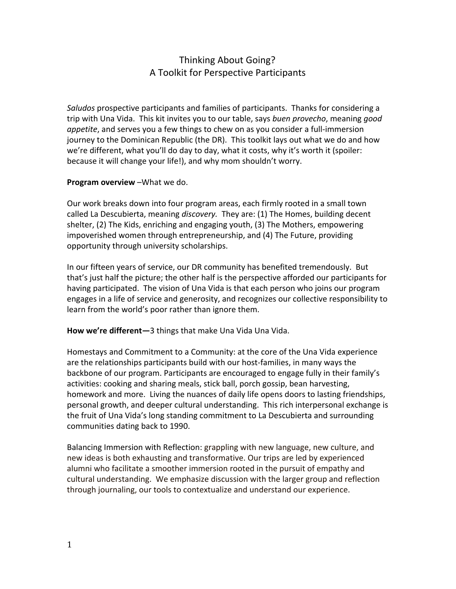# Thinking About Going? A Toolkit for Perspective Participants

Saludos prospective participants and families of participants. Thanks for considering a trip with Una Vida. This kit invites you to our table, says buen provecho, meaning good appetite, and serves you a few things to chew on as you consider a full-immersion journey to the Dominican Republic (the DR). This toolkit lays out what we do and how we're different, what you'll do day to day, what it costs, why it's worth it (spoiler: because it will change your life!), and why mom shouldn't worry.

#### Program overview –What we do.

Our work breaks down into four program areas, each firmly rooted in a small town called La Descubierta, meaning *discovery*. They are: (1) The Homes, building decent shelter, (2) The Kids, enriching and engaging youth, (3) The Mothers, empowering impoverished women through entrepreneurship, and (4) The Future, providing opportunity through university scholarships.

In our fifteen years of service, our DR community has benefited tremendously. But that's just half the picture; the other half is the perspective afforded our participants for having participated. The vision of Una Vida is that each person who joins our program engages in a life of service and generosity, and recognizes our collective responsibility to learn from the world's poor rather than ignore them.

How we're different-3 things that make Una Vida Una Vida.

Homestays and Commitment to a Community: at the core of the Una Vida experience are the relationships participants build with our host-families, in many ways the backbone of our program. Participants are encouraged to engage fully in their family's activities: cooking and sharing meals, stick ball, porch gossip, bean harvesting, homework and more. Living the nuances of daily life opens doors to lasting friendships, personal growth, and deeper cultural understanding. This rich interpersonal exchange is the fruit of Una Vida's long standing commitment to La Descubierta and surrounding communities dating back to 1990.

Balancing Immersion with Reflection: grappling with new language, new culture, and new ideas is both exhausting and transformative. Our trips are led by experienced alumni who facilitate a smoother immersion rooted in the pursuit of empathy and cultural understanding. We emphasize discussion with the larger group and reflection through journaling, our tools to contextualize and understand our experience.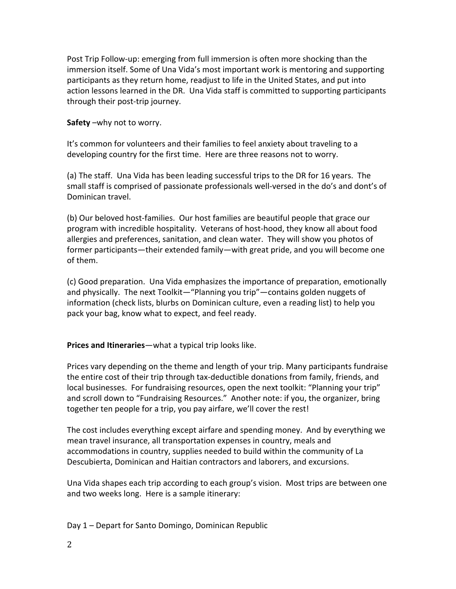Post Trip Follow-up: emerging from full immersion is often more shocking than the immersion itself. Some of Una Vida's most important work is mentoring and supporting participants as they return home, readjust to life in the United States, and put into action lessons learned in the DR. Una Vida staff is committed to supporting participants through their post-trip journey.

### Safety –why not to worry.

It's common for volunteers and their families to feel anxiety about traveling to a developing country for the first time. Here are three reasons not to worry.

(a) The staff. Una Vida has been leading successful trips to the DR for 16 years. The small staff is comprised of passionate professionals well-versed in the do's and dont's of Dominican travel.

(b) Our beloved host-families. Our host families are beautiful people that grace our program with incredible hospitality. Veterans of host-hood, they know all about food allergies and preferences, sanitation, and clean water. They will show you photos of former participants—their extended family—with great pride, and you will become one of them.

(c) Good preparation. Una Vida emphasizes the importance of preparation, emotionally and physically. The next Toolkit—"Planning you trip"—contains golden nuggets of information (check lists, blurbs on Dominican culture, even a reading list) to help you pack your bag, know what to expect, and feel ready.

## Prices and Itineraries—what a typical trip looks like.

Prices vary depending on the theme and length of your trip. Many participants fundraise the entire cost of their trip through tax-deductible donations from family, friends, and local businesses. For fundraising resources, open the next toolkit: "Planning your trip" and scroll down to "Fundraising Resources." Another note: if you, the organizer, bring together ten people for a trip, you pay airfare, we'll cover the rest!

The cost includes everything except airfare and spending money. And by everything we mean travel insurance, all transportation expenses in country, meals and accommodations in country, supplies needed to build within the community of La Descubierta, Dominican and Haitian contractors and laborers, and excursions.

Una Vida shapes each trip according to each group's vision. Most trips are between one and two weeks long. Here is a sample itinerary:

Day 1 – Depart for Santo Domingo, Dominican Republic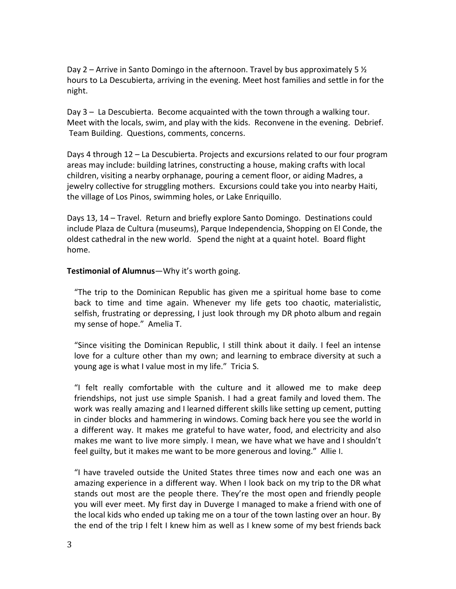Day 2 – Arrive in Santo Domingo in the afternoon. Travel by bus approximately 5  $\frac{1}{2}$ hours to La Descubierta, arriving in the evening. Meet host families and settle in for the night.

Day 3 – La Descubierta. Become acquainted with the town through a walking tour. Meet with the locals, swim, and play with the kids. Reconvene in the evening. Debrief. Team Building. Questions, comments, concerns.

Days 4 through 12 – La Descubierta. Projects and excursions related to our four program areas may include: building latrines, constructing a house, making crafts with local children, visiting a nearby orphanage, pouring a cement floor, or aiding Madres, a jewelry collective for struggling mothers. Excursions could take you into nearby Haiti, the village of Los Pinos, swimming holes, or Lake Enriquillo.

Days 13, 14 – Travel. Return and briefly explore Santo Domingo. Destinations could include Plaza de Cultura (museums), Parque Independencia, Shopping on El Conde, the oldest cathedral in the new world. Spend the night at a quaint hotel. Board flight home.

#### Testimonial of Alumnus—Why it's worth going.

"The trip to the Dominican Republic has given me a spiritual home base to come back to time and time again. Whenever my life gets too chaotic, materialistic, selfish, frustrating or depressing, I just look through my DR photo album and regain my sense of hope." Amelia T.

"Since visiting the Dominican Republic, I still think about it daily. I feel an intense love for a culture other than my own; and learning to embrace diversity at such a young age is what I value most in my life." Tricia S.

"I felt really comfortable with the culture and it allowed me to make deep friendships, not just use simple Spanish. I had a great family and loved them. The work was really amazing and I learned different skills like setting up cement, putting in cinder blocks and hammering in windows. Coming back here you see the world in a different way. It makes me grateful to have water, food, and electricity and also makes me want to live more simply. I mean, we have what we have and I shouldn't feel guilty, but it makes me want to be more generous and loving." Allie I.

"I have traveled outside the United States three times now and each one was an amazing experience in a different way. When I look back on my trip to the DR what stands out most are the people there. They're the most open and friendly people you will ever meet. My first day in Duverge I managed to make a friend with one of the local kids who ended up taking me on a tour of the town lasting over an hour. By the end of the trip I felt I knew him as well as I knew some of my best friends back